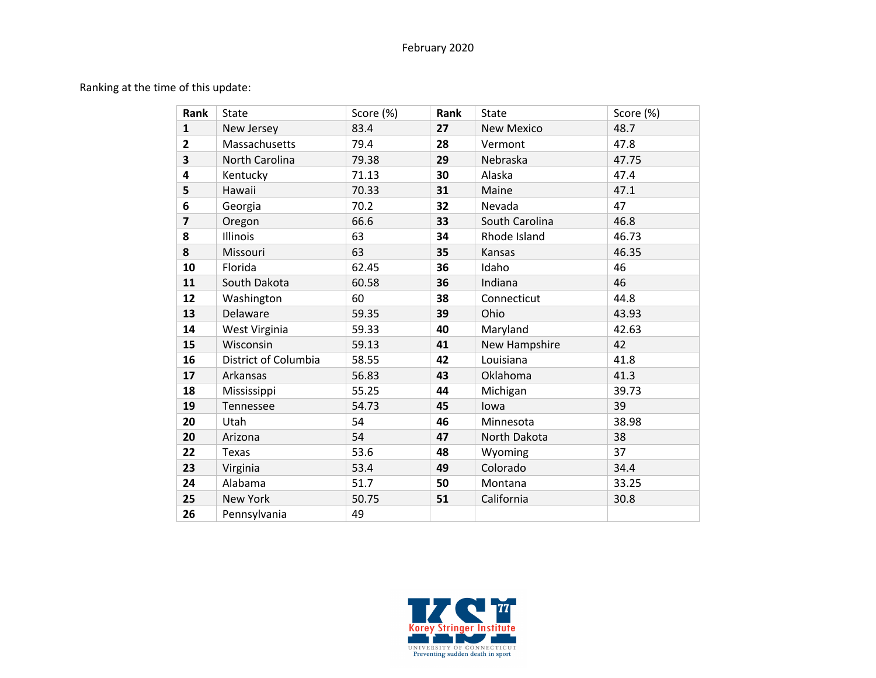## February 2020

Ranking at the time of this update:

| Rank                    | <b>State</b>         | Score (%) | Rank | <b>State</b>      | Score (%) |
|-------------------------|----------------------|-----------|------|-------------------|-----------|
| $\mathbf{1}$            | New Jersey           | 83.4      | 27   | <b>New Mexico</b> | 48.7      |
| $\mathbf{2}$            | Massachusetts        | 79.4      | 28   | Vermont           | 47.8      |
| $\overline{\mathbf{3}}$ | North Carolina       | 79.38     | 29   | Nebraska          | 47.75     |
| 4                       | Kentucky             | 71.13     | 30   | Alaska            | 47.4      |
| 5                       | Hawaii               | 70.33     | 31   | Maine             | 47.1      |
| 6                       | Georgia              | 70.2      | 32   | Nevada            | 47        |
| $\overline{7}$          | Oregon               | 66.6      | 33   | South Carolina    | 46.8      |
| 8                       | Illinois             | 63        | 34   | Rhode Island      | 46.73     |
| 8                       | Missouri             | 63        | 35   | Kansas            | 46.35     |
| 10                      | Florida              | 62.45     | 36   | Idaho             | 46        |
| 11                      | South Dakota         | 60.58     | 36   | Indiana           | 46        |
| 12                      | Washington           | 60        | 38   | Connecticut       | 44.8      |
| 13                      | Delaware             | 59.35     | 39   | Ohio              | 43.93     |
| 14                      | West Virginia        | 59.33     | 40   | Maryland          | 42.63     |
| 15                      | Wisconsin            | 59.13     | 41   | New Hampshire     | 42        |
| 16                      | District of Columbia | 58.55     | 42   | Louisiana         | 41.8      |
| 17                      | Arkansas             | 56.83     | 43   | Oklahoma          | 41.3      |
| 18                      | Mississippi          | 55.25     | 44   | Michigan          | 39.73     |
| 19                      | Tennessee            | 54.73     | 45   | lowa              | 39        |
| 20                      | Utah                 | 54        | 46   | Minnesota         | 38.98     |
| 20                      | Arizona              | 54        | 47   | North Dakota      | 38        |
| 22                      | Texas                | 53.6      | 48   | Wyoming           | 37        |
| 23                      | Virginia             | 53.4      | 49   | Colorado          | 34.4      |
| 24                      | Alabama              | 51.7      | 50   | Montana           | 33.25     |
| 25                      | <b>New York</b>      | 50.75     | 51   | California        | 30.8      |
| 26                      | Pennsylvania         | 49        |      |                   |           |

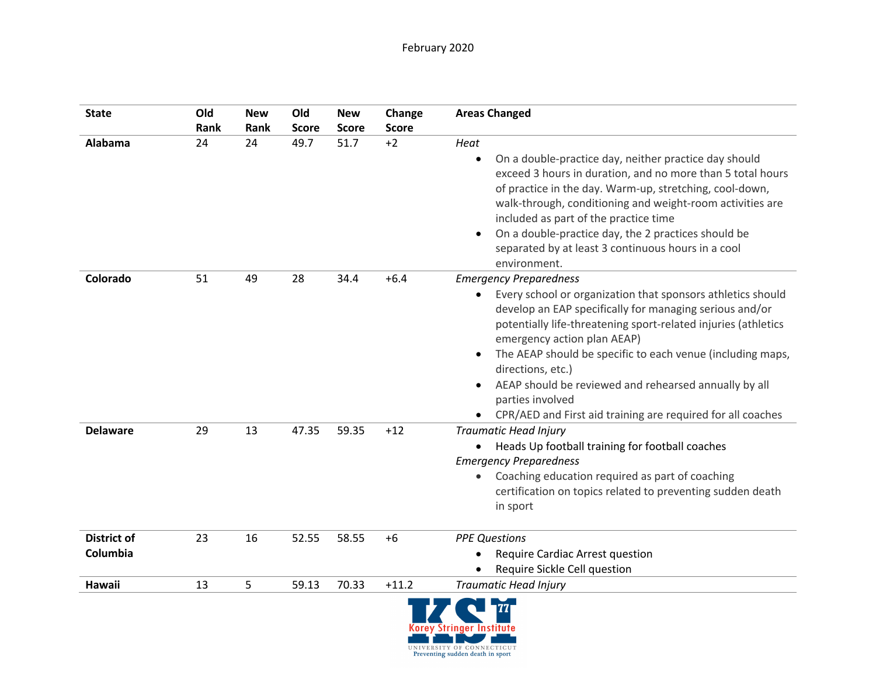| <b>State</b>                   | Old<br>Rank | <b>New</b><br>Rank | Old<br><b>Score</b> | <b>New</b><br><b>Score</b> | Change<br><b>Score</b> | <b>Areas Changed</b>                                                                                                                                                                                                                                                                                                                                                                                                                                                                                              |
|--------------------------------|-------------|--------------------|---------------------|----------------------------|------------------------|-------------------------------------------------------------------------------------------------------------------------------------------------------------------------------------------------------------------------------------------------------------------------------------------------------------------------------------------------------------------------------------------------------------------------------------------------------------------------------------------------------------------|
| Alabama                        | 24          | 24                 | 49.7                | 51.7                       | $+2$                   | Heat<br>On a double-practice day, neither practice day should<br>$\bullet$<br>exceed 3 hours in duration, and no more than 5 total hours<br>of practice in the day. Warm-up, stretching, cool-down,<br>walk-through, conditioning and weight-room activities are<br>included as part of the practice time<br>On a double-practice day, the 2 practices should be<br>separated by at least 3 continuous hours in a cool<br>environment.                                                                            |
| Colorado                       | 51          | 49                 | 28                  | 34.4                       | $+6.4$                 | <b>Emergency Preparedness</b><br>Every school or organization that sponsors athletics should<br>$\bullet$<br>develop an EAP specifically for managing serious and/or<br>potentially life-threatening sport-related injuries (athletics<br>emergency action plan AEAP)<br>The AEAP should be specific to each venue (including maps,<br>$\bullet$<br>directions, etc.)<br>AEAP should be reviewed and rehearsed annually by all<br>parties involved<br>CPR/AED and First aid training are required for all coaches |
| <b>Delaware</b>                | 29          | 13                 | 47.35               | 59.35                      | $+12$                  | <b>Traumatic Head Injury</b><br>Heads Up football training for football coaches<br>$\bullet$<br><b>Emergency Preparedness</b><br>Coaching education required as part of coaching<br>$\bullet$<br>certification on topics related to preventing sudden death<br>in sport                                                                                                                                                                                                                                           |
| <b>District of</b><br>Columbia | 23          | 16                 | 52.55               | 58.55                      | $+6$                   | <b>PPE Questions</b><br><b>Require Cardiac Arrest question</b><br>Require Sickle Cell question                                                                                                                                                                                                                                                                                                                                                                                                                    |
| Hawaii                         | 13          | 5                  | 59.13               | 70.33                      | $+11.2$                | <b>Traumatic Head Injury</b>                                                                                                                                                                                                                                                                                                                                                                                                                                                                                      |

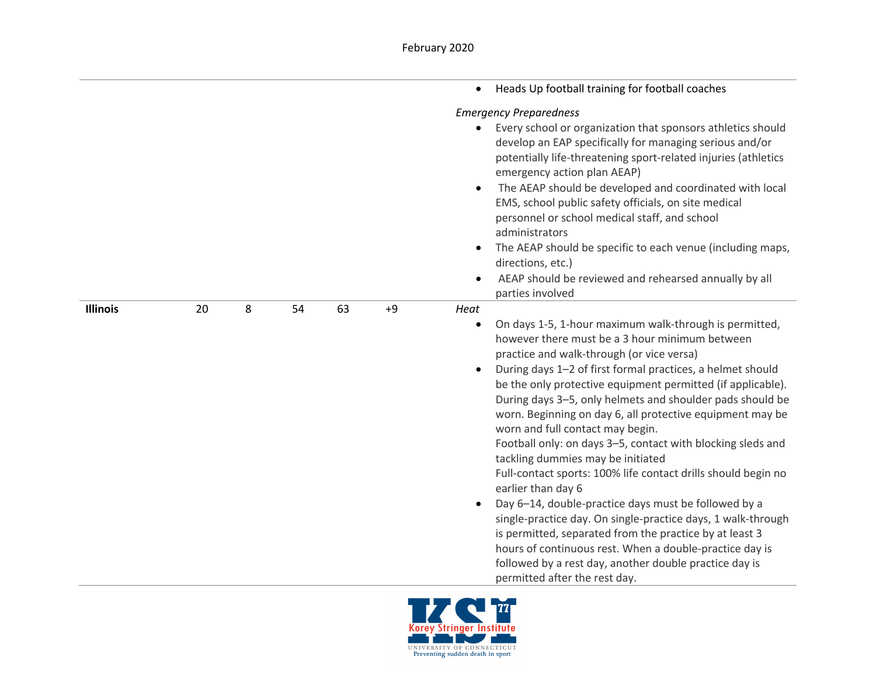|                 |    |   |    |    |      | Heads Up football training for football coaches<br>$\bullet$                                                                                                                                                                                                                                                                                                                                                                                                                                                                                                                                                                                                                                                                                                                                                                                                                                                                                                                                                                        |
|-----------------|----|---|----|----|------|-------------------------------------------------------------------------------------------------------------------------------------------------------------------------------------------------------------------------------------------------------------------------------------------------------------------------------------------------------------------------------------------------------------------------------------------------------------------------------------------------------------------------------------------------------------------------------------------------------------------------------------------------------------------------------------------------------------------------------------------------------------------------------------------------------------------------------------------------------------------------------------------------------------------------------------------------------------------------------------------------------------------------------------|
|                 |    |   |    |    |      | <b>Emergency Preparedness</b><br>Every school or organization that sponsors athletics should<br>develop an EAP specifically for managing serious and/or<br>potentially life-threatening sport-related injuries (athletics<br>emergency action plan AEAP)<br>The AEAP should be developed and coordinated with local<br>$\bullet$<br>EMS, school public safety officials, on site medical<br>personnel or school medical staff, and school<br>administrators<br>The AEAP should be specific to each venue (including maps,<br>directions, etc.)<br>AEAP should be reviewed and rehearsed annually by all<br>$\bullet$<br>parties involved                                                                                                                                                                                                                                                                                                                                                                                            |
| <b>Illinois</b> | 20 | 8 | 54 | 63 | $+9$ | Heat<br>On days 1-5, 1-hour maximum walk-through is permitted,<br>$\bullet$<br>however there must be a 3 hour minimum between<br>practice and walk-through (or vice versa)<br>During days 1-2 of first formal practices, a helmet should<br>$\bullet$<br>be the only protective equipment permitted (if applicable).<br>During days 3-5, only helmets and shoulder pads should be<br>worn. Beginning on day 6, all protective equipment may be<br>worn and full contact may begin.<br>Football only: on days 3-5, contact with blocking sleds and<br>tackling dummies may be initiated<br>Full-contact sports: 100% life contact drills should begin no<br>earlier than day 6<br>Day 6-14, double-practice days must be followed by a<br>$\bullet$<br>single-practice day. On single-practice days, 1 walk-through<br>is permitted, separated from the practice by at least 3<br>hours of continuous rest. When a double-practice day is<br>followed by a rest day, another double practice day is<br>permitted after the rest day. |